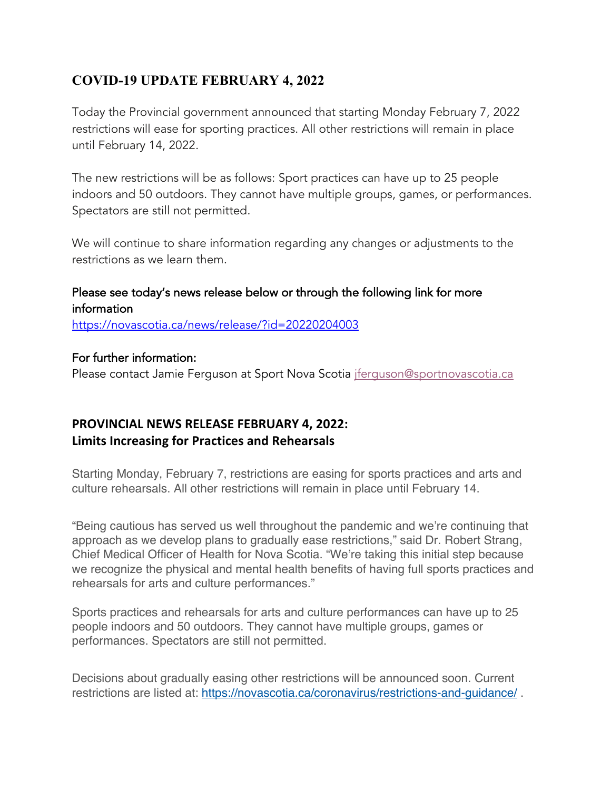## **COVID-19 UPDATE FEBRUARY 4, 2022**

Today the Provincial government announced that starting Monday February 7, 2022 restrictions will ease for sporting practices. All other restrictions will remain in place until February 14, 2022.

The new restrictions will be as follows: Sport practices can have up to 25 people indoors and 50 outdoors. They cannot have multiple groups, games, or performances. Spectators are still not permitted.

We will continue to share information regarding any changes or adjustments to the restrictions as we learn them.

### Please see today's news release below or through the following link for more information

https://novascotia.ca/news/release/?id=20220204003

#### For further information:

Please contact Jamie Ferguson at Sport Nova Scotia jferguson@sportnovascotia.ca

## **PROVINCIAL NEWS RELEASE FEBRUARY 4, 2022: Limits Increasing for Practices and Rehearsals**

Starting Monday, February 7, restrictions are easing for sports practices and arts and culture rehearsals. All other restrictions will remain in place until February 14.

"Being cautious has served us well throughout the pandemic and we're continuing that approach as we develop plans to gradually ease restrictions," said Dr. Robert Strang, Chief Medical Officer of Health for Nova Scotia. "We're taking this initial step because we recognize the physical and mental health benefits of having full sports practices and rehearsals for arts and culture performances."

Sports practices and rehearsals for arts and culture performances can have up to 25 people indoors and 50 outdoors. They cannot have multiple groups, games or performances. Spectators are still not permitted.

Decisions about gradually easing other restrictions will be announced soon. Current restrictions are listed at: https://novascotia.ca/coronavirus/restrictions-and-quidance/.